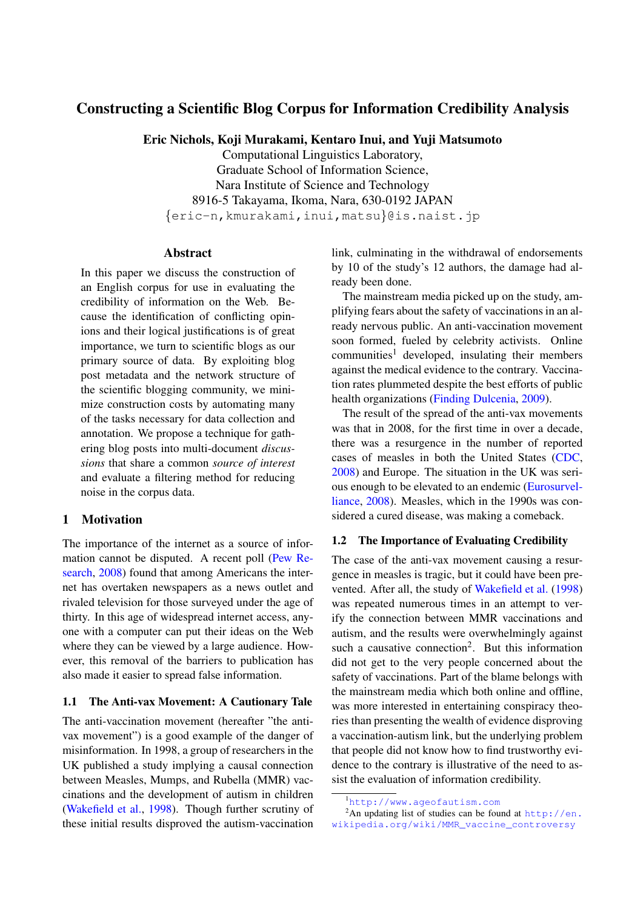# Constructing a Scientific Blog Corpus for Information Credibility Analysis

Eric Nichols, Koji Murakami, Kentaro Inui, and Yuji Matsumoto

Computational Linguistics Laboratory, Graduate School of Information Science, Nara Institute of Science and Technology 8916-5 Takayama, Ikoma, Nara, 630-0192 JAPAN {eric-n,kmurakami,inui,matsu}@is.naist.jp

## Abstract

In this paper we discuss the construction of an English corpus for use in evaluating the credibility of information on the Web. Because the identification of conflicting opinions and their logical justifications is of great importance, we turn to scientific blogs as our primary source of data. By exploiting blog post metadata and the network structure of the scientific blogging community, we minimize construction costs by automating many of the tasks necessary for data collection and annotation. We propose a technique for gathering blog posts into multi-document *discussions* that share a common *source of interest* and evaluate a filtering method for reducing noise in the corpus data.

## 1 Motivation

The importance of the internet as a source of information cannot be disputed. A recent poll [\(Pew Re](#page-5-0)[search,](#page-5-0) [2008\)](#page-5-0) found that among Americans the internet has overtaken newspapers as a news outlet and rivaled television for those surveyed under the age of thirty. In this age of widespread internet access, anyone with a computer can put their ideas on the Web where they can be viewed by a large audience. However, this removal of the barriers to publication has also made it easier to spread false information.

#### 1.1 The Anti-vax Movement: A Cautionary Tale

The anti-vaccination movement (hereafter "the antivax movement") is a good example of the danger of misinformation. In 1998, a group of researchers in the UK published a study implying a causal connection between Measles, Mumps, and Rubella (MMR) vaccinations and the development of autism in children [\(Wakefield et al.,](#page-5-1) [1998\)](#page-5-1). Though further scrutiny of these initial results disproved the autism-vaccination link, culminating in the withdrawal of endorsements by 10 of the study's 12 authors, the damage had already been done.

The mainstream media picked up on the study, amplifying fears about the safety of vaccinations in an already nervous public. An anti-vaccination movement soon formed, fueled by celebrity activists. Online  $communties<sup>1</sup> developed, insulating their members$  $communties<sup>1</sup> developed, insulating their members$  $communties<sup>1</sup> developed, insulating their members$ against the medical evidence to the contrary. Vaccination rates plummeted despite the best efforts of public health organizations [\(Finding Dulcenia,](#page-5-2) [2009\)](#page-5-2).

The result of the spread of the anti-vax movements was that in 2008, for the first time in over a decade, there was a resurgence in the number of reported cases of measles in both the United States [\(CDC,](#page-5-3) [2008\)](#page-5-3) and Europe. The situation in the UK was serious enough to be elevated to an endemic [\(Eurosurvel](#page-5-4)[liance,](#page-5-4) [2008\)](#page-5-4). Measles, which in the 1990s was considered a cured disease, was making a comeback.

### 1.2 The Importance of Evaluating Credibility

The case of the anti-vax movement causing a resurgence in measles is tragic, but it could have been prevented. After all, the study of [Wakefield et al.](#page-5-1) [\(1998\)](#page-5-1) was repeated numerous times in an attempt to verify the connection between MMR vaccinations and autism, and the results were overwhelmingly against such a causative connection<sup>[2](#page-0-1)</sup>. But this information did not get to the very people concerned about the safety of vaccinations. Part of the blame belongs with the mainstream media which both online and offline, was more interested in entertaining conspiracy theories than presenting the wealth of evidence disproving a vaccination-autism link, but the underlying problem that people did not know how to find trustworthy evidence to the contrary is illustrative of the need to assist the evaluation of information credibility.

<sup>2</sup>An updating list of studies can be found at  $http://en.$ [wikipedia.org/wiki/MMR\\_vaccine\\_controversy](http://en.wikipedia.org/wiki/MMR_vaccine_controversy)

<span id="page-0-1"></span><span id="page-0-0"></span><sup>1</sup><http://www.ageofautism.com>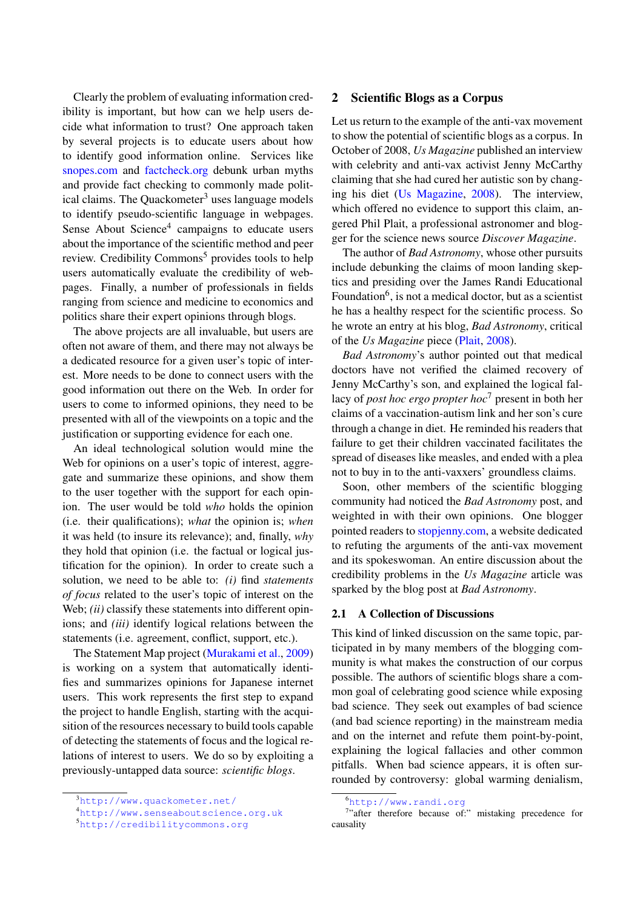Clearly the problem of evaluating information credibility is important, but how can we help users decide what information to trust? One approach taken by several projects is to educate users about how to identify good information online. Services like [snopes.com](http://www.snopes.com) and [factcheck.org](http://www.factcheck.org) debunk urban myths and provide fact checking to commonly made polit-ical claims. The Quackometer<sup>[3](#page-1-0)</sup> uses language models to identify pseudo-scientific language in webpages. Sense About Science<sup>[4](#page-1-1)</sup> campaigns to educate users about the importance of the scientific method and peer review. Credibility Commons<sup>[5](#page-1-2)</sup> provides tools to help users automatically evaluate the credibility of webpages. Finally, a number of professionals in fields ranging from science and medicine to economics and politics share their expert opinions through blogs.

The above projects are all invaluable, but users are often not aware of them, and there may not always be a dedicated resource for a given user's topic of interest. More needs to be done to connect users with the good information out there on the Web. In order for users to come to informed opinions, they need to be presented with all of the viewpoints on a topic and the justification or supporting evidence for each one.

An ideal technological solution would mine the Web for opinions on a user's topic of interest, aggregate and summarize these opinions, and show them to the user together with the support for each opinion. The user would be told *who* holds the opinion (i.e. their qualifications); *what* the opinion is; *when* it was held (to insure its relevance); and, finally, *why* they hold that opinion (i.e. the factual or logical justification for the opinion). In order to create such a solution, we need to be able to: *(i)* find *statements of focus* related to the user's topic of interest on the Web; *(ii)* classify these statements into different opinions; and *(iii)* identify logical relations between the statements (i.e. agreement, conflict, support, etc.).

The Statement Map project [\(Murakami et al.,](#page-5-5) [2009\)](#page-5-5) is working on a system that automatically identifies and summarizes opinions for Japanese internet users. This work represents the first step to expand the project to handle English, starting with the acquisition of the resources necessary to build tools capable of detecting the statements of focus and the logical relations of interest to users. We do so by exploiting a previously-untapped data source: *scientific blogs*.

#### 2 Scientific Blogs as a Corpus

Let us return to the example of the anti-vax movement to show the potential of scientific blogs as a corpus. In October of 2008, *Us Magazine* published an interview with celebrity and anti-vax activist Jenny McCarthy claiming that she had cured her autistic son by changing his diet [\(Us Magazine,](#page-5-6) [2008\)](#page-5-6). The interview, which offered no evidence to support this claim, angered Phil Plait, a professional astronomer and blogger for the science news source *Discover Magazine*.

The author of *Bad Astronomy*, whose other pursuits include debunking the claims of moon landing skeptics and presiding over the James Randi Educational Foundation<sup>[6](#page-1-3)</sup>, is not a medical doctor, but as a scientist he has a healthy respect for the scientific process. So he wrote an entry at his blog, *Bad Astronomy*, critical of the *Us Magazine* piece [\(Plait,](#page-5-7) [2008\)](#page-5-7).

*Bad Astronomy*'s author pointed out that medical doctors have not verified the claimed recovery of Jenny McCarthy's son, and explained the logical fallacy of *post hoc ergo propter hoc*[7](#page-1-4) present in both her claims of a vaccination-autism link and her son's cure through a change in diet. He reminded his readers that failure to get their children vaccinated facilitates the spread of diseases like measles, and ended with a plea not to buy in to the anti-vaxxers' groundless claims.

Soon, other members of the scientific blogging community had noticed the *Bad Astronomy* post, and weighted in with their own opinions. One blogger pointed readers to [stopjenny.com,](http://www.stopjenny.com) a website dedicated to refuting the arguments of the anti-vax movement and its spokeswoman. An entire discussion about the credibility problems in the *Us Magazine* article was sparked by the blog post at *Bad Astronomy*.

### 2.1 A Collection of Discussions

This kind of linked discussion on the same topic, participated in by many members of the blogging community is what makes the construction of our corpus possible. The authors of scientific blogs share a common goal of celebrating good science while exposing bad science. They seek out examples of bad science (and bad science reporting) in the mainstream media and on the internet and refute them point-by-point, explaining the logical fallacies and other common pitfalls. When bad science appears, it is often surrounded by controversy: global warming denialism,

<span id="page-1-0"></span><sup>3</sup><http://www.quackometer.net/>

<span id="page-1-1"></span><sup>4</sup><http://www.senseaboutscience.org.uk>

<span id="page-1-2"></span><sup>5</sup><http://credibilitycommons.org>

<span id="page-1-4"></span><span id="page-1-3"></span><sup>6</sup><http://www.randi.org>

<sup>&</sup>lt;sup>7</sup>"after therefore because of:" mistaking precedence for causality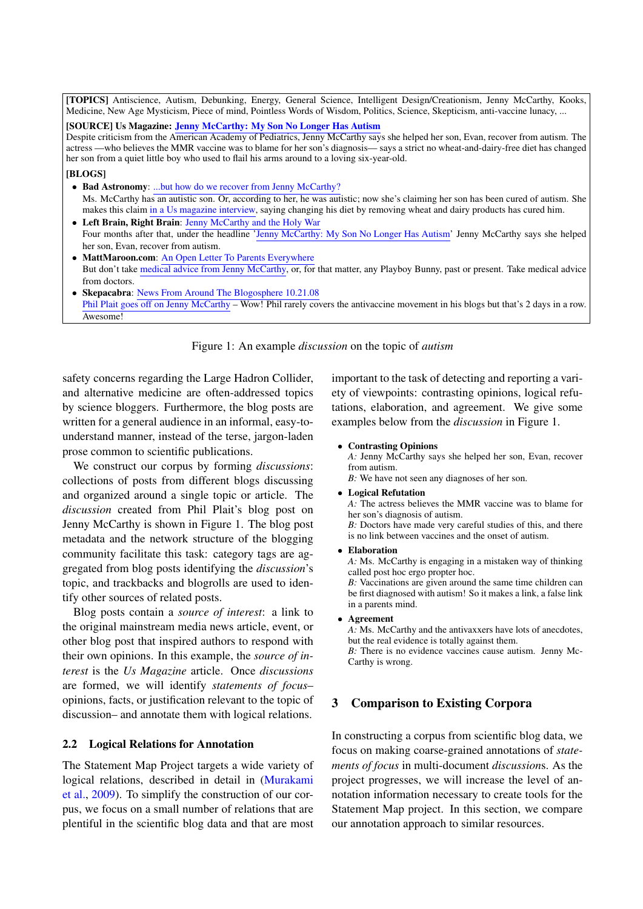[TOPICS] Antiscience, Autism, Debunking, Energy, General Science, Intelligent Design/Creationism, Jenny McCarthy, Kooks, Medicine, New Age Mysticism, Piece of mind, Pointless Words of Wisdom, Politics, Science, Skepticism, anti-vaccine lunacy, ...

### [SOURCE] Us Magazine: [Jenny McCarthy: My Son No Longer Has Autism](http://www.usmagazine.com/news/jenny-mccarthy-my-son-is-no-longer-autistic)

Despite criticism from the American Academy of Pediatrics, Jenny McCarthy says she helped her son, Evan, recover from autism. The actress —who believes the MMR vaccine was to blame for her son's diagnosis— says a strict no wheat-and-dairy-free diet has changed her son from a quiet little boy who used to flail his arms around to a loving six-year-old.

#### [BLOGS]

- Bad Astronomy: [...but how do we recover from Jenny McCarthy?](http://blogs.discovermagazine.com/badastronomy/2008/10/20/but-how-do-we-recover-from-jenny-mccarthy/) Ms. McCarthy has an autistic son. Or, according to her, he was autistic; now she's claiming her son has been cured of autism. She makes this claim [in a Us magazine interview,](http://www.usmagazine.com/news/jenny-mccarthy-my-son-is-no-longer-autistic) saying changing his diet by removing wheat and dairy products has cured him.
- Left Brain, Right Brain: [Jenny McCarthy and the Holy War](http://leftbrainrightbrain.co.uk/?p=1612) Four months after that, under the headline ['Jenny McCarthy: My Son No Longer Has Autism'](http://www.usmagazine.com/news/jenny-mccarthy-my-son-is-no-longer-autistic) Jenny McCarthy says she helped her son, Evan, recover from autism.
- MattMaroon.com: [An Open Letter To Parents Everywhere](http://mattmaroon.com/2008/10/22/an-open-letter-to-parents-everywhere/) But don't take [medical advice from Jenny McCarthy,](http://blogs.discovermagazine.com/badastronomy/2008/10/20/but-how-do-we-recover-from-jenny-mccarthy/) or, for that matter, any Playboy Bunny, past or present. Take medical advice from doctors.
- Skepacabra: [News From Around The Blogosphere 10.21.08](http://skepacabra.wordpress.com/2008/10/22/news-from-around-the-blogosphere-102108/) [Phil Plait goes off on Jenny McCarthy](http://blogs.discovermagazine.com/badastronomy/2008/10/20/but-how-do-we-recover-from-jenny-mccarthy/) – Wow! Phil rarely covers the antivaccine movement in his blogs but that's 2 days in a row. Awesome!

#### <span id="page-2-0"></span>Figure 1: An example *discussion* on the topic of *autism*

safety concerns regarding the Large Hadron Collider, and alternative medicine are often-addressed topics by science bloggers. Furthermore, the blog posts are written for a general audience in an informal, easy-tounderstand manner, instead of the terse, jargon-laden prose common to scientific publications.

We construct our corpus by forming *discussions*: collections of posts from different blogs discussing and organized around a single topic or article. The *discussion* created from Phil Plait's blog post on Jenny McCarthy is shown in Figure [1.](#page-2-0) The blog post metadata and the network structure of the blogging community facilitate this task: category tags are aggregated from blog posts identifying the *discussion*'s topic, and trackbacks and blogrolls are used to identify other sources of related posts.

Blog posts contain a *source of interest*: a link to the original mainstream media news article, event, or other blog post that inspired authors to respond with their own opinions. In this example, the *source of interest* is the *Us Magazine* article. Once *discussions* are formed, we will identify *statements of focus*– opinions, facts, or justification relevant to the topic of discussion– and annotate them with logical relations.

#### 2.2 Logical Relations for Annotation

The Statement Map Project targets a wide variety of logical relations, described in detail in [\(Murakami](#page-5-5) [et al.,](#page-5-5) [2009\)](#page-5-5). To simplify the construction of our corpus, we focus on a small number of relations that are plentiful in the scientific blog data and that are most

important to the task of detecting and reporting a variety of viewpoints: contrasting opinions, logical refutations, elaboration, and agreement. We give some examples below from the *discussion* in Figure [1.](#page-2-0)

#### • Contrasting Opinions

*A:* Jenny McCarthy says she helped her son, Evan, recover from autism.

*B:* We have not seen any diagnoses of her son.

• Logical Refutation

*A:* The actress believes the MMR vaccine was to blame for her son's diagnosis of autism.

*B:* Doctors have made very careful studies of this, and there is no link between vaccines and the onset of autism.

• Elaboration

*A:* Ms. McCarthy is engaging in a mistaken way of thinking called post hoc ergo propter hoc.

*B:* Vaccinations are given around the same time children can be first diagnosed with autism! So it makes a link, a false link in a parents mind.

• Agreement

*A:* Ms. McCarthy and the antivaxxers have lots of anecdotes, but the real evidence is totally against them. *B:* There is no evidence vaccines cause autism. Jenny Mc-Carthy is wrong.

## 3 Comparison to Existing Corpora

In constructing a corpus from scientific blog data, we focus on making coarse-grained annotations of *statements of focus* in multi-document *discussion*s. As the project progresses, we will increase the level of annotation information necessary to create tools for the Statement Map project. In this section, we compare our annotation approach to similar resources.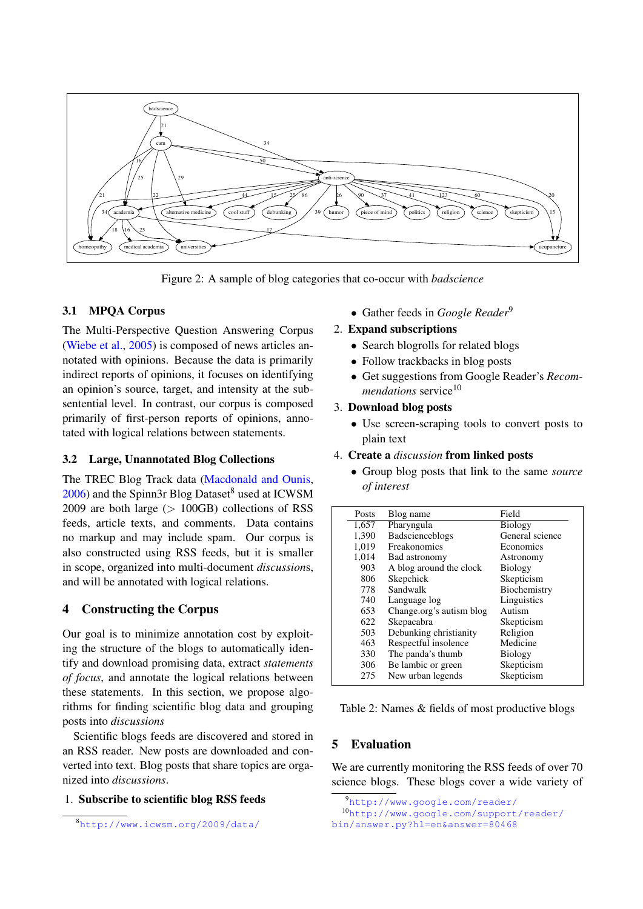

<span id="page-3-4"></span>Figure 2: A sample of blog categories that co-occur with *badscience*

# 3.1 MPQA Corpus

The Multi-Perspective Question Answering Corpus [\(Wiebe et al.,](#page-5-8) [2005\)](#page-5-8) is composed of news articles annotated with opinions. Because the data is primarily indirect reports of opinions, it focuses on identifying an opinion's source, target, and intensity at the subsentential level. In contrast, our corpus is composed primarily of first-person reports of opinions, annotated with logical relations between statements.

## 3.2 Large, Unannotated Blog Collections

The TREC Blog Track data [\(Macdonald and Ounis,](#page-5-9)  $2006$ ) and the Spinn3r Blog Dataset<sup>[8](#page-3-0)</sup> used at ICWSM 2009 are both large  $(> 100\text{GB})$  collections of RSS feeds, article texts, and comments. Data contains no markup and may include spam. Our corpus is also constructed using RSS feeds, but it is smaller in scope, organized into multi-document *discussion*s, and will be annotated with logical relations.

# 4 Constructing the Corpus

Our goal is to minimize annotation cost by exploiting the structure of the blogs to automatically identify and download promising data, extract *statements of focus*, and annotate the logical relations between these statements. In this section, we propose algorithms for finding scientific blog data and grouping posts into *discussions*

Scientific blogs feeds are discovered and stored in an RSS reader. New posts are downloaded and converted into text. Blog posts that share topics are organized into *discussions*.

## 1. Subscribe to scientific blog RSS feeds

<span id="page-3-0"></span><sup>8</sup><http://www.icwsm.org/2009/data/>

• Gather feeds in *Google Reader*[9](#page-3-1)

# 2. Expand subscriptions

- Search blogrolls for related blogs
- Follow trackbacks in blog posts
- Get suggestions from Google Reader's *Recommendations* service<sup>[10](#page-3-2)</sup>

# 3. Download blog posts

- Use screen-scraping tools to convert posts to plain text
- 4. Create a *discussion* from linked posts
	- Group blog posts that link to the same *source of interest*

| <b>Posts</b> | Blog name                | Field           |
|--------------|--------------------------|-----------------|
| 1,657        | Pharyngula               | <b>Biology</b>  |
| 1,390        | Badscienceblogs          | General science |
| 1,019        | Freakonomics             | Economics       |
| 1,014        | Bad astronomy            | Astronomy       |
| 903          | A blog around the clock  | <b>Biology</b>  |
| 806          | Skepchick                | Skepticism      |
| 778          | Sandwalk                 | Biochemistry    |
| 740          | Language log             | Linguistics     |
| 653          | Change.org's autism blog | Autism          |
| 622          | Skepacabra               | Skepticism      |
| 503          | Debunking christianity   | Religion        |
| 463          | Respectful insolence     | Medicine        |
| 330          | The panda's thumb        | <b>Biology</b>  |
| 306          | Be lambic or green       | Skepticism      |
| 275          | New urban legends        | Skepticism      |
|              |                          |                 |

<span id="page-3-3"></span>Table 2: Names & fields of most productive blogs

# 5 Evaluation

We are currently monitoring the RSS feeds of over 70 science blogs. These blogs cover a wide variety of

<span id="page-3-2"></span><span id="page-3-1"></span><sup>9</sup><http://www.google.com/reader/>

<sup>10</sup>[http://www.google.com/support/reader/](http://www.google.com/support/reader/bin/answer.py?hl=en&answer=80468) [bin/answer.py?hl=en&answer=80468](http://www.google.com/support/reader/bin/answer.py?hl=en&answer=80468)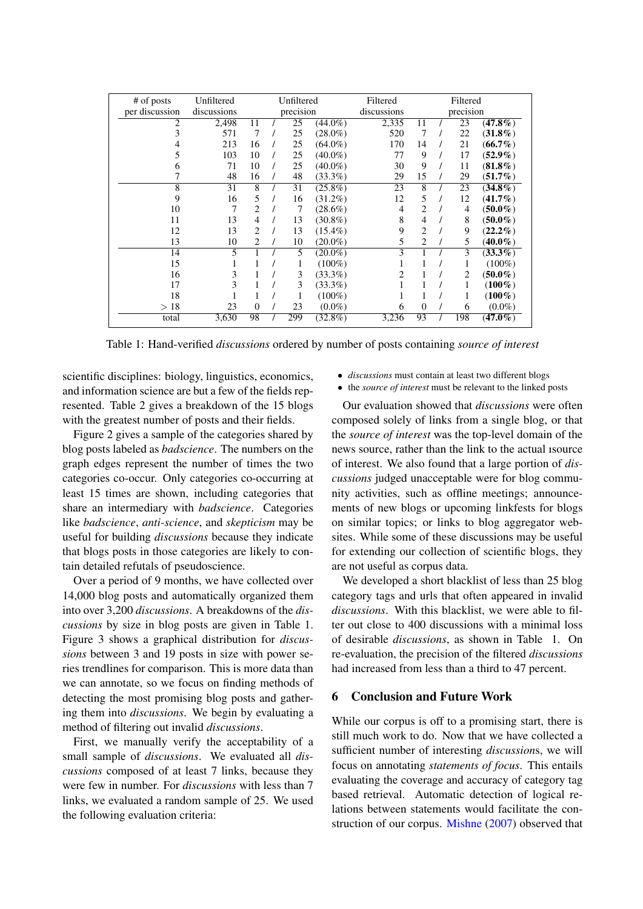| # of posts     | Unfiltered  | Unfiltered     |  |     |             | Filtered  | Filtered       |  |     |            |
|----------------|-------------|----------------|--|-----|-------------|-----------|----------------|--|-----|------------|
| per discussion | discussions | precision      |  |     | discussions | precision |                |  |     |            |
| 2              | 2,498       | 11             |  | 25  | $(44.0\%)$  | 2,335     | 11             |  | 23  | $(47.8\%)$ |
| 3              | 571         | 7              |  | 25  | $(28.0\%)$  | 520       | 7              |  | 22  | $(31.8\%)$ |
| 4              | 213         | 16             |  | 25  | $(64.0\%)$  | 170       | 14             |  | 21  | $(66.7\%)$ |
| 5              | 103         | 10             |  | 25  | $(40.0\%)$  | 77        | 9              |  | 17  | $(52.9\%)$ |
| 6              | 71          | 10             |  | 25  | $(40.0\%)$  | 30        | 9              |  | 11  | $(81.8\%)$ |
|                | 48          | 16             |  | 48  | $(33.3\%)$  | 29        | 15             |  | 29  | $(51.7\%)$ |
| 8              | 31          | 8              |  | 31  | $(25.8\%)$  | 23        | 8              |  | 23  | $(34.8\%)$ |
| 9              | 16          | 5              |  | 16  | $(31.2\%)$  | 12        | 5              |  | 12  | $(41.7\%)$ |
| 10             | 7           | 2              |  | 7   | $(28.6\%)$  | 4         | 2              |  | 4   | $(50.0\%)$ |
| 11             | 13          | $\overline{4}$ |  | 13  | $(30.8\%)$  | 8         | 4              |  | 8   | $(50.0\%)$ |
| 12             | 13          | $\overline{c}$ |  | 13  | $(15.4\%)$  | 9         | $\overline{2}$ |  | 9   | $(22.2\%)$ |
| 13             | 10          | 2              |  | 10  | $(20.0\%)$  | 5         | 2              |  | 5   | $(40.0\%)$ |
| 14             | 5           | 1              |  | 5   | $(20.0\%)$  | 3         | 1              |  | 3   | $(33.3\%)$ |
| 15             | 1           | 1              |  | 1   | $(100\%)$   | 1         | 1              |  | 1   | $(100\%)$  |
| 16             | 3           | 1              |  | 3   | $(33.3\%)$  | 2         | 1              |  | 2   | $(50.0\%)$ |
| 17             | 3           | 1              |  | 3   | $(33.3\%)$  | 1         | 1              |  | 1   | $(100\%)$  |
| 18             |             | 1              |  |     | $(100\%)$   |           |                |  |     | $(100\%)$  |
| >18            | 23          | $\overline{0}$ |  | 23  | $(0.0\%)$   | 6         | $\overline{0}$ |  | 6   | $(0.0\%)$  |
| total          | 3,630       | 98             |  | 299 | $(32.8\%)$  | 3,236     | 93             |  | 198 | $(47.0\%)$ |

<span id="page-4-0"></span>Table 1: Hand-verified *discussions* ordered by number of posts containing *source of interest*

scientific disciplines: biology, linguistics, economics, and information science are but a few of the fields represented. Table [2](#page-3-3) gives a breakdown of the 15 blogs with the greatest number of posts and their fields.

Figure [2](#page-3-4) gives a sample of the categories shared by blog posts labeled as *badscience*. The numbers on the graph edges represent the number of times the two categories co-occur. Only categories co-occurring at least 15 times are shown, including categories that share an intermediary with *badscience*. Categories like *badscience*, *anti-science*, and *skepticism* may be useful for building *discussions* because they indicate that blogs posts in those categories are likely to contain detailed refutals of pseudoscience.

Over a period of 9 months, we have collected over 14,000 blog posts and automatically organized them into over 3,200 *discussions*. A breakdowns of the *discussions* by size in blog posts are given in Table [1.](#page-4-0) Figure [3](#page-5-10) shows a graphical distribution for *discussions* between 3 and 19 posts in size with power series trendlines for comparison. This is more data than we can annotate, so we focus on finding methods of detecting the most promising blog posts and gathering them into *discussions*. We begin by evaluating a method of filtering out invalid *discussions*.

First, we manually verify the acceptability of a small sample of *discussions*. We evaluated all *discussions* composed of at least 7 links, because they were few in number. For *discussions* with less than 7 links, we evaluated a random sample of 25. We used the following evaluation criteria:

- *discussions* must contain at least two different blogs
- the *source of interest* must be relevant to the linked posts

Our evaluation showed that *discussions* were often composed solely of links from a single blog, or that the *source of interest* was the top-level domain of the news source, rather than the link to the actual ısource of interest. We also found that a large portion of *discussions* judged unacceptable were for blog community activities, such as offline meetings; announcements of new blogs or upcoming linkfests for blogs on similar topics; or links to blog aggregator websites. While some of these discussions may be useful for extending our collection of scientific blogs, they are not useful as corpus data.

We developed a short blacklist of less than 25 blog category tags and urls that often appeared in invalid *discussions*. With this blacklist, we were able to filter out close to 400 discussions with a minimal loss of desirable *discussions*, as shown in Table [1.](#page-4-0) On re-evaluation, the precision of the filtered *discussions* had increased from less than a third to 47 percent.

## 6 Conclusion and Future Work

While our corpus is off to a promising start, there is still much work to do. Now that we have collected a sufficient number of interesting *discussion*s, we will focus on annotating *statements of focus*. This entails evaluating the coverage and accuracy of category tag based retrieval. Automatic detection of logical relations between statements would facilitate the construction of our corpus. [Mishne](#page-5-11) [\(2007\)](#page-5-11) observed that